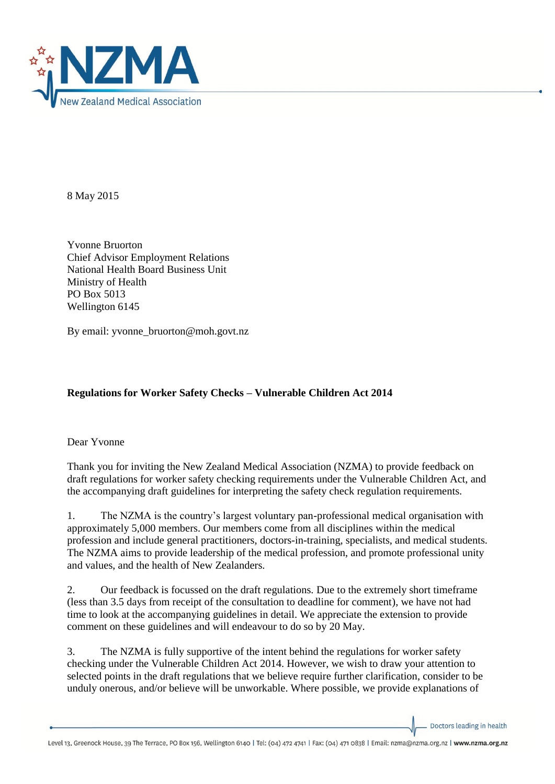

8 May 2015

Yvonne Bruorton Chief Advisor Employment Relations National Health Board Business Unit Ministry of Health PO Box 5013 Wellington 6145

By email: yvonne\_bruorton@moh.govt.nz

## **Regulations for Worker Safety Checks – Vulnerable Children Act 2014**

Dear Yvonne

Thank you for inviting the New Zealand Medical Association (NZMA) to provide feedback on draft regulations for worker safety checking requirements under the Vulnerable Children Act, and the accompanying draft guidelines for interpreting the safety check regulation requirements.

1. The NZMA is the country's largest voluntary pan-professional medical organisation with approximately 5,000 members. Our members come from all disciplines within the medical profession and include general practitioners, doctors-in-training, specialists, and medical students. The NZMA aims to provide leadership of the medical profession, and promote professional unity and values, and the health of New Zealanders.

2. Our feedback is focussed on the draft regulations. Due to the extremely short timeframe (less than 3.5 days from receipt of the consultation to deadline for comment), we have not had time to look at the accompanying guidelines in detail. We appreciate the extension to provide comment on these guidelines and will endeavour to do so by 20 May.

3. The NZMA is fully supportive of the intent behind the regulations for worker safety checking under the Vulnerable Children Act 2014. However, we wish to draw your attention to selected points in the draft regulations that we believe require further clarification, consider to be unduly onerous, and/or believe will be unworkable. Where possible, we provide explanations of

Doctors leading in health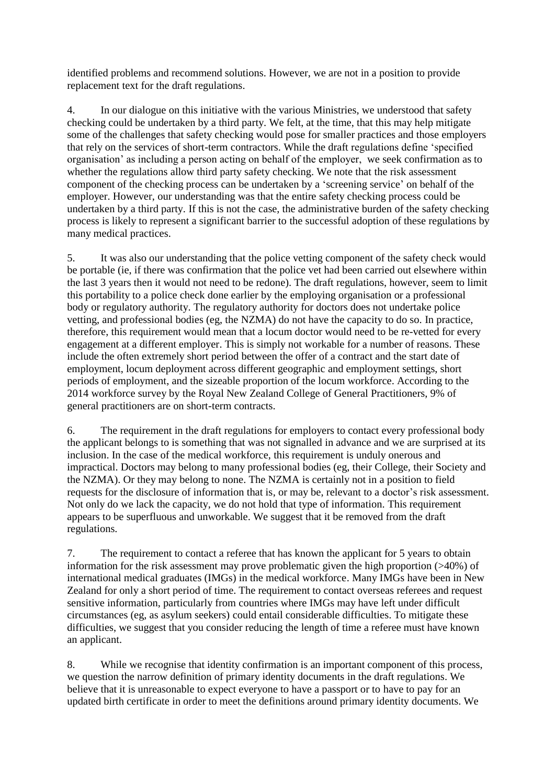identified problems and recommend solutions. However, we are not in a position to provide replacement text for the draft regulations.

4. In our dialogue on this initiative with the various Ministries, we understood that safety checking could be undertaken by a third party. We felt, at the time, that this may help mitigate some of the challenges that safety checking would pose for smaller practices and those employers that rely on the services of short-term contractors. While the draft regulations define 'specified organisation' as including a person acting on behalf of the employer, we seek confirmation as to whether the regulations allow third party safety checking. We note that the risk assessment component of the checking process can be undertaken by a 'screening service' on behalf of the employer. However, our understanding was that the entire safety checking process could be undertaken by a third party. If this is not the case, the administrative burden of the safety checking process is likely to represent a significant barrier to the successful adoption of these regulations by many medical practices.

5. It was also our understanding that the police vetting component of the safety check would be portable (ie, if there was confirmation that the police vet had been carried out elsewhere within the last 3 years then it would not need to be redone). The draft regulations, however, seem to limit this portability to a police check done earlier by the employing organisation or a professional body or regulatory authority. The regulatory authority for doctors does not undertake police vetting, and professional bodies (eg, the NZMA) do not have the capacity to do so. In practice, therefore, this requirement would mean that a locum doctor would need to be re-vetted for every engagement at a different employer. This is simply not workable for a number of reasons. These include the often extremely short period between the offer of a contract and the start date of employment, locum deployment across different geographic and employment settings, short periods of employment, and the sizeable proportion of the locum workforce. According to the 2014 workforce survey by the Royal New Zealand College of General Practitioners, 9% of general practitioners are on short-term contracts.

6. The requirement in the draft regulations for employers to contact every professional body the applicant belongs to is something that was not signalled in advance and we are surprised at its inclusion. In the case of the medical workforce, this requirement is unduly onerous and impractical. Doctors may belong to many professional bodies (eg, their College, their Society and the NZMA). Or they may belong to none. The NZMA is certainly not in a position to field requests for the disclosure of information that is, or may be, relevant to a doctor's risk assessment. Not only do we lack the capacity, we do not hold that type of information. This requirement appears to be superfluous and unworkable. We suggest that it be removed from the draft regulations.

7. The requirement to contact a referee that has known the applicant for 5 years to obtain information for the risk assessment may prove problematic given the high proportion (>40%) of international medical graduates (IMGs) in the medical workforce. Many IMGs have been in New Zealand for only a short period of time. The requirement to contact overseas referees and request sensitive information, particularly from countries where IMGs may have left under difficult circumstances (eg, as asylum seekers) could entail considerable difficulties. To mitigate these difficulties, we suggest that you consider reducing the length of time a referee must have known an applicant.

8. While we recognise that identity confirmation is an important component of this process, we question the narrow definition of primary identity documents in the draft regulations. We believe that it is unreasonable to expect everyone to have a passport or to have to pay for an updated birth certificate in order to meet the definitions around primary identity documents. We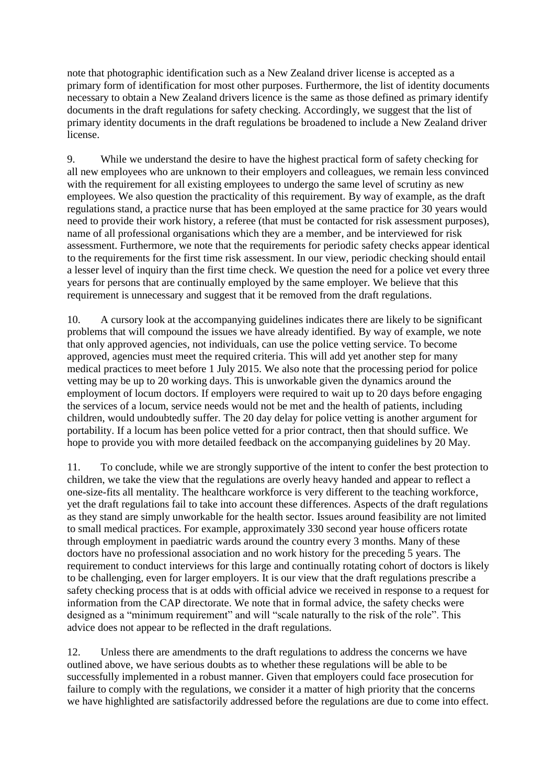note that photographic identification such as a New Zealand driver license is accepted as a primary form of identification for most other purposes. Furthermore, the list of identity documents necessary to obtain a New Zealand drivers licence is the same as those defined as primary identify documents in the draft regulations for safety checking. Accordingly, we suggest that the list of primary identity documents in the draft regulations be broadened to include a New Zealand driver license.

9. While we understand the desire to have the highest practical form of safety checking for all new employees who are unknown to their employers and colleagues, we remain less convinced with the requirement for all existing employees to undergo the same level of scrutiny as new employees. We also question the practicality of this requirement. By way of example, as the draft regulations stand, a practice nurse that has been employed at the same practice for 30 years would need to provide their work history, a referee (that must be contacted for risk assessment purposes), name of all professional organisations which they are a member, and be interviewed for risk assessment. Furthermore, we note that the requirements for periodic safety checks appear identical to the requirements for the first time risk assessment. In our view, periodic checking should entail a lesser level of inquiry than the first time check. We question the need for a police vet every three years for persons that are continually employed by the same employer. We believe that this requirement is unnecessary and suggest that it be removed from the draft regulations.

10. A cursory look at the accompanying guidelines indicates there are likely to be significant problems that will compound the issues we have already identified. By way of example, we note that only approved agencies, not individuals, can use the police vetting service. To become approved, agencies must meet the required criteria. This will add yet another step for many medical practices to meet before 1 July 2015. We also note that the processing period for police vetting may be up to 20 working days. This is unworkable given the dynamics around the employment of locum doctors. If employers were required to wait up to 20 days before engaging the services of a locum, service needs would not be met and the health of patients, including children, would undoubtedly suffer. The 20 day delay for police vetting is another argument for portability. If a locum has been police vetted for a prior contract, then that should suffice. We hope to provide you with more detailed feedback on the accompanying guidelines by 20 May.

11. To conclude, while we are strongly supportive of the intent to confer the best protection to children, we take the view that the regulations are overly heavy handed and appear to reflect a one-size-fits all mentality. The healthcare workforce is very different to the teaching workforce, yet the draft regulations fail to take into account these differences. Aspects of the draft regulations as they stand are simply unworkable for the health sector. Issues around feasibility are not limited to small medical practices. For example, approximately 330 second year house officers rotate through employment in paediatric wards around the country every 3 months. Many of these doctors have no professional association and no work history for the preceding 5 years. The requirement to conduct interviews for this large and continually rotating cohort of doctors is likely to be challenging, even for larger employers. It is our view that the draft regulations prescribe a safety checking process that is at odds with official advice we received in response to a request for information from the CAP directorate. We note that in formal advice, the safety checks were designed as a "minimum requirement" and will "scale naturally to the risk of the role". This advice does not appear to be reflected in the draft regulations.

12. Unless there are amendments to the draft regulations to address the concerns we have outlined above, we have serious doubts as to whether these regulations will be able to be successfully implemented in a robust manner. Given that employers could face prosecution for failure to comply with the regulations, we consider it a matter of high priority that the concerns we have highlighted are satisfactorily addressed before the regulations are due to come into effect.